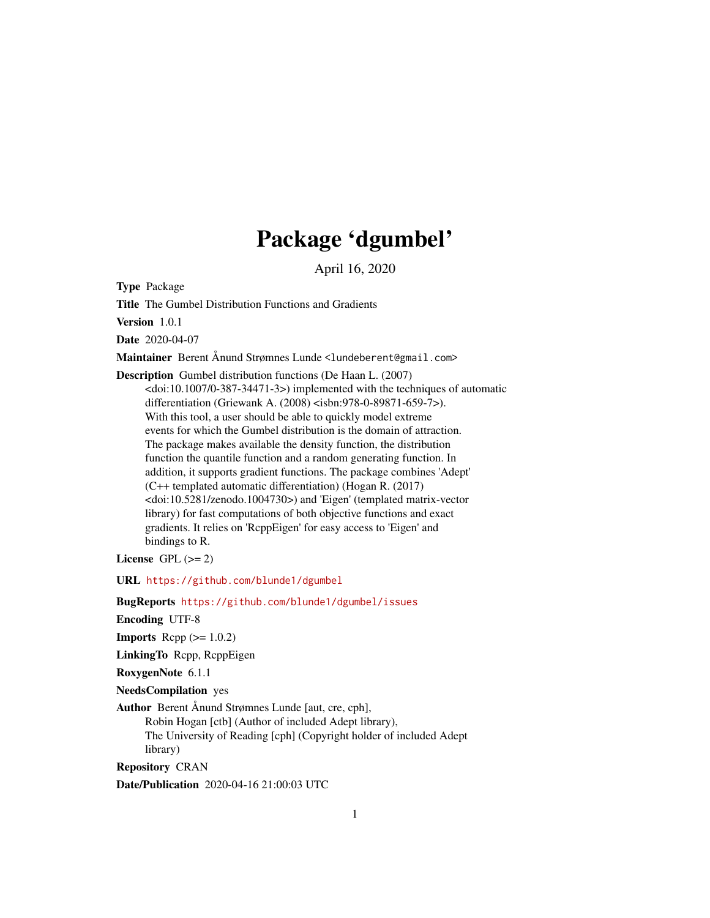## Package 'dgumbel'

April 16, 2020

Type Package

Title The Gumbel Distribution Functions and Gradients

Version 1.0.1

Date 2020-04-07

Maintainer Berent Ånund Strømnes Lunde <lundeberent@gmail.com>

Description Gumbel distribution functions (De Haan L. (2007) <doi:10.1007/0-387-34471-3>) implemented with the techniques of automatic differentiation (Griewank A. (2008) <isbn:978-0-89871-659-7>). With this tool, a user should be able to quickly model extreme events for which the Gumbel distribution is the domain of attraction. The package makes available the density function, the distribution function the quantile function and a random generating function. In addition, it supports gradient functions. The package combines 'Adept' (C++ templated automatic differentiation) (Hogan R. (2017) <doi:10.5281/zenodo.1004730>) and 'Eigen' (templated matrix-vector library) for fast computations of both objective functions and exact gradients. It relies on 'RcppEigen' for easy access to 'Eigen' and bindings to R.

License GPL  $(>= 2)$ 

URL <https://github.com/blunde1/dgumbel>

BugReports <https://github.com/blunde1/dgumbel/issues>

Encoding UTF-8

**Imports** Rcpp  $(>= 1.0.2)$ 

LinkingTo Rcpp, RcppEigen

RoxygenNote 6.1.1

NeedsCompilation yes

Author Berent Ånund Strømnes Lunde [aut, cre, cph],

Robin Hogan [ctb] (Author of included Adept library), The University of Reading [cph] (Copyright holder of included Adept library)

Repository CRAN

Date/Publication 2020-04-16 21:00:03 UTC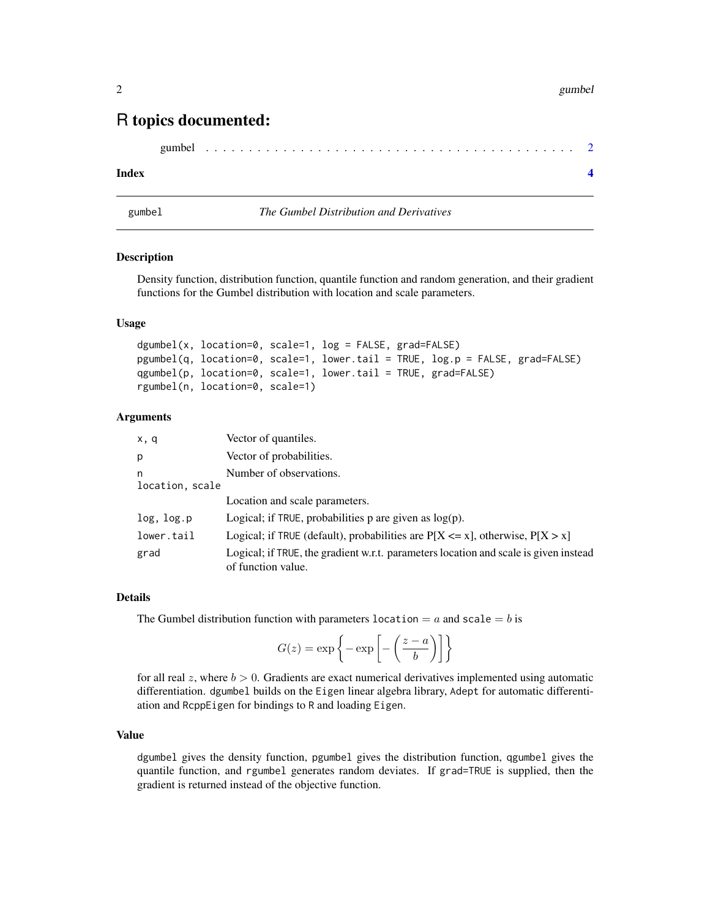#### <span id="page-1-0"></span>2 gumbel and the state of the state of the state of the state of the state of the state of the state of the state of the state of the state of the state of the state of the state of the state of the state of the state of t

### R topics documented:

```
gumbel . . . . . . . . . . . . . . . . . . . . . . . . . . . . . . . . . . . . . . . . . . . 2
```
#### **Index** [4](#page-3-0)

gumbel *The Gumbel Distribution and Derivatives*

#### **Description**

Density function, distribution function, quantile function and random generation, and their gradient functions for the Gumbel distribution with location and scale parameters.

#### Usage

```
dgumbel(x, location=0, scale=1, log = FALSE, grad=FALSE)
pgumbel(q, location=0, scale=1, lower.tail = TRUE, log.p = FALSE, grad=FALSE)
qgumbel(p, location=0, scale=1, lower.tail = TRUE, grad=FALSE)
rgumbel(n, location=0, scale=1)
```
#### Arguments

| x, q                 | Vector of quantiles.                                                                                       |
|----------------------|------------------------------------------------------------------------------------------------------------|
| p                    | Vector of probabilities.                                                                                   |
| n<br>location, scale | Number of observations.                                                                                    |
|                      | Location and scale parameters.                                                                             |
| log, log.p           | Logical; if TRUE, probabilities $p$ are given as $log(p)$ .                                                |
| lower.tail           | Logical; if TRUE (default), probabilities are $P[X \le x]$ , otherwise, $P[X > x]$                         |
| grad                 | Logical; if TRUE, the gradient w.r.t. parameters location and scale is given instead<br>of function value. |

#### Details

The Gumbel distribution function with parameters location  $= a$  and scale  $= b$  is

$$
G(z) = \exp\left\{-\exp\left[-\left(\frac{z-a}{b}\right)\right]\right\}
$$

for all real  $z$ , where  $b > 0$ . Gradients are exact numerical derivatives implemented using automatic differentiation. dgumbel builds on the Eigen linear algebra library, Adept for automatic differentiation and RcppEigen for bindings to R and loading Eigen.

#### Value

dgumbel gives the density function, pgumbel gives the distribution function, qgumbel gives the quantile function, and rgumbel generates random deviates. If grad=TRUE is supplied, then the gradient is returned instead of the objective function.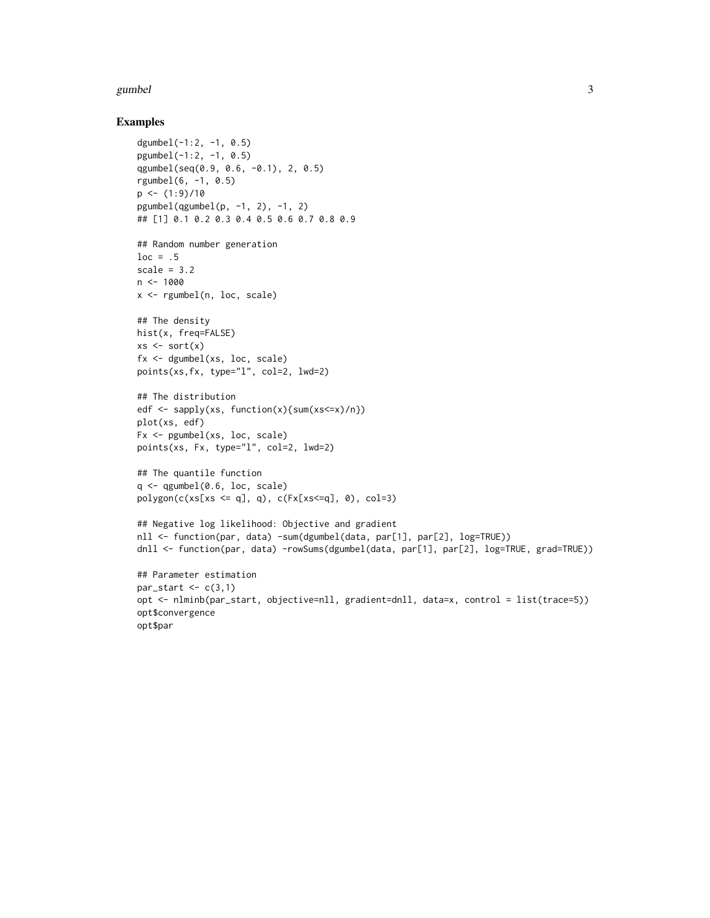#### gumbel 3

#### Examples

```
dgumbel(-1:2, -1, 0.5)
pgumbel(-1:2, -1, 0.5)
qgumbel(seq(0.9, 0.6, -0.1), 2, 0.5)
rgumbel(6, -1, 0.5)
p \leftarrow (1:9)/10pgumbel(qgumbel(p, -1, 2), -1, 2)
## [1] 0.1 0.2 0.3 0.4 0.5 0.6 0.7 0.8 0.9
## Random number generation
loc = .5scale = 3.2n < -1000x <- rgumbel(n, loc, scale)
## The density
hist(x, freq=FALSE)
xs \leftarrow sort(x)fx <- dgumbel(xs, loc, scale)
points(xs,fx, type="l", col=2, lwd=2)
## The distribution
edf \leq sapply(xs, function(x){sum(xs\leqx)/n})
plot(xs, edf)
Fx <- pgumbel(xs, loc, scale)
points(xs, Fx, type="l", col=2, lwd=2)
## The quantile function
q \leftarrow qgumbel(0.6, loc, scale)
polygon(c(xs[xs \leq q], q), c(Fx[xs \leq q], 0), col=3)## Negative log likelihood: Objective and gradient
nll <- function(par, data) -sum(dgumbel(data, par[1], par[2], log=TRUE))
dnll <- function(par, data) -rowSums(dgumbel(data, par[1], par[2], log=TRUE, grad=TRUE))
## Parameter estimation
par_start \leq c(3,1)
opt <- nlminb(par_start, objective=nll, gradient=dnll, data=x, control = list(trace=5))
opt$convergence
```
opt\$par